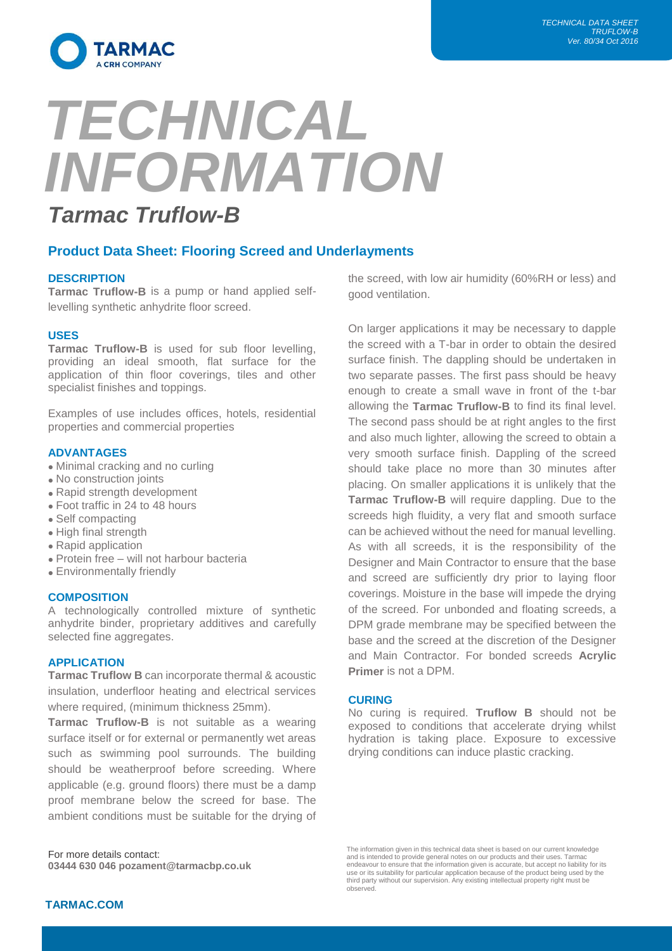

# *TECHNICAL INFORMATION Tarmac Truflow-B*

# **Product Data Sheet: Flooring Screed and Underlayments**

# **DESCRIPTION**

**Tarmac Truflow-B** is a pump or hand applied selflevelling synthetic anhydrite floor screed.

#### **USES**

**Tarmac Truflow-B** is used for sub floor levelling, providing an ideal smooth, flat surface for the application of thin floor coverings, tiles and other specialist finishes and toppings.

Examples of use includes offices, hotels, residential properties and commercial properties

#### **ADVANTAGES**

- Minimal cracking and no curling
- No construction joints
- Rapid strength development
- Foot traffic in 24 to 48 hours
- Self compacting
- High final strength
- Rapid application
- Protein free will not harbour bacteria
- Environmentally friendly

#### **COMPOSITION**

A technologically controlled mixture of synthetic anhydrite binder, proprietary additives and carefully selected fine aggregates.

#### **APPLICATION**

**Tarmac Truflow B** can incorporate thermal & acoustic insulation, underfloor heating and electrical services where required, (minimum thickness 25mm).

**Tarmac Truflow-B** is not suitable as a wearing surface itself or for external or permanently wet areas such as swimming pool surrounds. The building should be weatherproof before screeding. Where applicable (e.g. ground floors) there must be a damp proof membrane below the screed for base. The ambient conditions must be suitable for the drying of

For more details contact: **03444 630 046 pozament@tarmacbp.co.uk** the screed, with low air humidity (60%RH or less) and good ventilation.

On larger applications it may be necessary to dapple the screed with a T-bar in order to obtain the desired surface finish. The dappling should be undertaken in two separate passes. The first pass should be heavy enough to create a small wave in front of the t-bar allowing the **Tarmac Truflow-B** to find its final level. The second pass should be at right angles to the first and also much lighter, allowing the screed to obtain a very smooth surface finish. Dappling of the screed should take place no more than 30 minutes after placing. On smaller applications it is unlikely that the **Tarmac Truflow-B** will require dappling. Due to the screeds high fluidity, a very flat and smooth surface can be achieved without the need for manual levelling. As with all screeds, it is the responsibility of the Designer and Main Contractor to ensure that the base and screed are sufficiently dry prior to laying floor coverings. Moisture in the base will impede the drying of the screed. For unbonded and floating screeds, a DPM grade membrane may be specified between the base and the screed at the discretion of the Designer and Main Contractor. For bonded screeds **Acrylic Primer** is not a DPM.

#### **CURING**

No curing is required. **Truflow B** should not be exposed to conditions that accelerate drying whilst hydration is taking place. Exposure to excessive drying conditions can induce plastic cracking.

The information given in this technical data sheet is based on our current knowledge and is intended to provide general notes on our products and their uses. Tarmac<br>endeavour to ensure that the information given is accurate, but accept no liability for its<br>use or its suitability for particular application third party without our supervision. Any existing intellectual property right must be observed.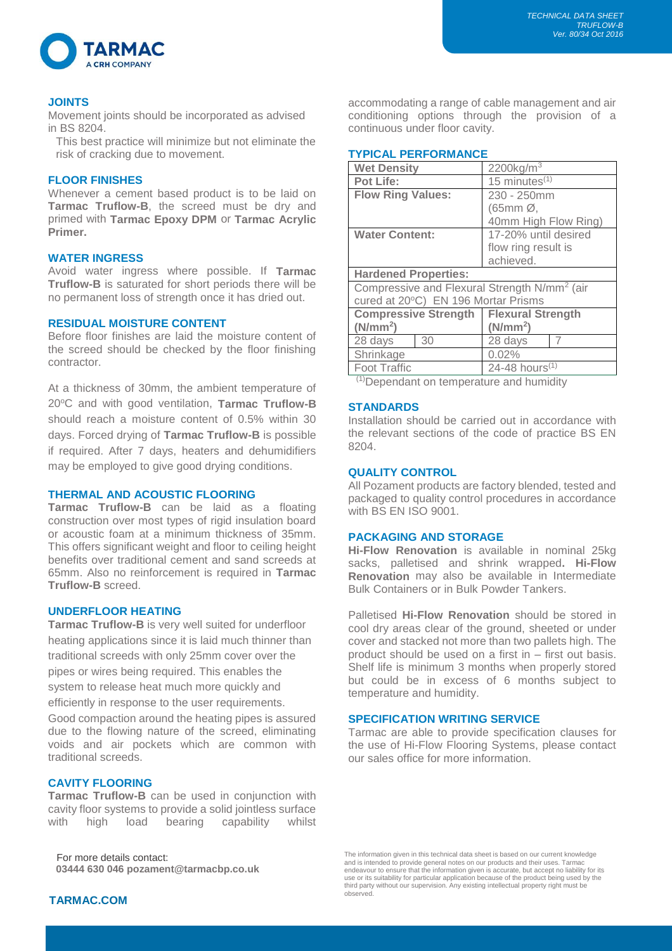

# **JOINTS**

Movement joints should be incorporated as advised in BS 8204.

This best practice will minimize but not eliminate the risk of cracking due to movement.

### **FLOOR FINISHES**

Whenever a cement based product is to be laid on **Tarmac Truflow-B**, the screed must be dry and primed with **Tarmac Epoxy DPM** or **Tarmac Acrylic Primer.**

# **WATER INGRESS**

Avoid water ingress where possible. If **Tarmac Truflow-B** is saturated for short periods there will be no permanent loss of strength once it has dried out.

# **RESIDUAL MOISTURE CONTENT**

Before floor finishes are laid the moisture content of the screed should be checked by the floor finishing contractor.

At a thickness of 30mm, the ambient temperature of 20°C and with good ventilation, **Tarmac Truflow-B** should reach a moisture content of 0.5% within 30 days. Forced drying of **Tarmac Truflow-B** is possible if required. After 7 days, heaters and dehumidifiers may be employed to give good drying conditions.

#### **THERMAL AND ACOUSTIC FLOORING**

**Tarmac Truflow-B** can be laid as a floating construction over most types of rigid insulation board or acoustic foam at a minimum thickness of 35mm. This offers significant weight and floor to ceiling height benefits over traditional cement and sand screeds at 65mm. Also no reinforcement is required in **Tarmac Truflow-B** screed.

# **UNDERFLOOR HEATING**

**Tarmac Truflow-B** is very well suited for underfloor heating applications since it is laid much thinner than traditional screeds with only 25mm cover over the pipes or wires being required. This enables the system to release heat much more quickly and efficiently in response to the user requirements.

Good compaction around the heating pipes is assured due to the flowing nature of the screed, eliminating voids and air pockets which are common with traditional screeds.

# **CAVITY FLOORING**

**Tarmac Truflow-B** can be used in conjunction with cavity floor systems to provide a solid jointless surface with high load bearing capability whilst

 For more details contact: **03444 630 046 pozament@tarmacbp.co.uk** accommodating a range of cable management and air conditioning options through the provision of a continuous under floor cavity.

# **TYPICAL PERFORMANCE**

| <b>Wet Density</b>                                       |    | $2200$ kg/m <sup>3</sup>   |   |
|----------------------------------------------------------|----|----------------------------|---|
| <b>Pot Life:</b>                                         |    | 15 minutes $(1)$           |   |
| <b>Flow Ring Values:</b>                                 |    | 230 - 250mm                |   |
|                                                          |    | (65mm Ø,                   |   |
|                                                          |    | 40mm High Flow Ring)       |   |
| <b>Water Content:</b>                                    |    | 17-20% until desired       |   |
|                                                          |    | flow ring result is        |   |
|                                                          |    | achieved.                  |   |
| <b>Hardened Properties:</b>                              |    |                            |   |
| Compressive and Flexural Strength N/mm <sup>2</sup> (air |    |                            |   |
| cured at 20°C) EN 196 Mortar Prisms                      |    |                            |   |
| <b>Compressive Strength</b>                              |    | <b>Flexural Strength</b>   |   |
| (N/mm <sup>2</sup> )                                     |    | (N/mm <sup>2</sup> )       |   |
| 28 days                                                  | 30 | 28 days                    | 7 |
| Shrinkage                                                |    | 0.02%                      |   |
| <b>Foot Traffic</b>                                      |    | 24-48 hours <sup>(1)</sup> |   |
| 71) <b>.</b><br>the company of the constitution          |    |                            |   |

(1)Dependant on temperature and humidity

# **STANDARDS**

Installation should be carried out in accordance with the relevant sections of the code of practice BS EN 8204.

# **QUALITY CONTROL**

All Pozament products are factory blended, tested and packaged to quality control procedures in accordance with BS EN ISO 9001.

#### **PACKAGING AND STORAGE**

**Hi-Flow Renovation** is available in nominal 25kg sacks, palletised and shrink wrapped**. Hi-Flow Renovation** may also be available in Intermediate Bulk Containers or in Bulk Powder Tankers.

Palletised **Hi-Flow Renovation** should be stored in cool dry areas clear of the ground, sheeted or under cover and stacked not more than two pallets high. The product should be used on a first in – first out basis. Shelf life is minimum 3 months when properly stored but could be in excess of 6 months subject to temperature and humidity.

# **SPECIFICATION WRITING SERVICE**

Tarmac are able to provide specification clauses for the use of Hi-Flow Flooring Systems, please contact our sales office for more information.

The information given in this technical data sheet is based on our current knowledge and is intended to provide general notes on our products and their uses. Tarmac endeavour to ensure that the information given is accurate, but accept no liability for its use or its suitability for particular application because of the product being used by the third party without our supervision. Any existing intellectual property right must be observed.

# **TARMAC.COM**